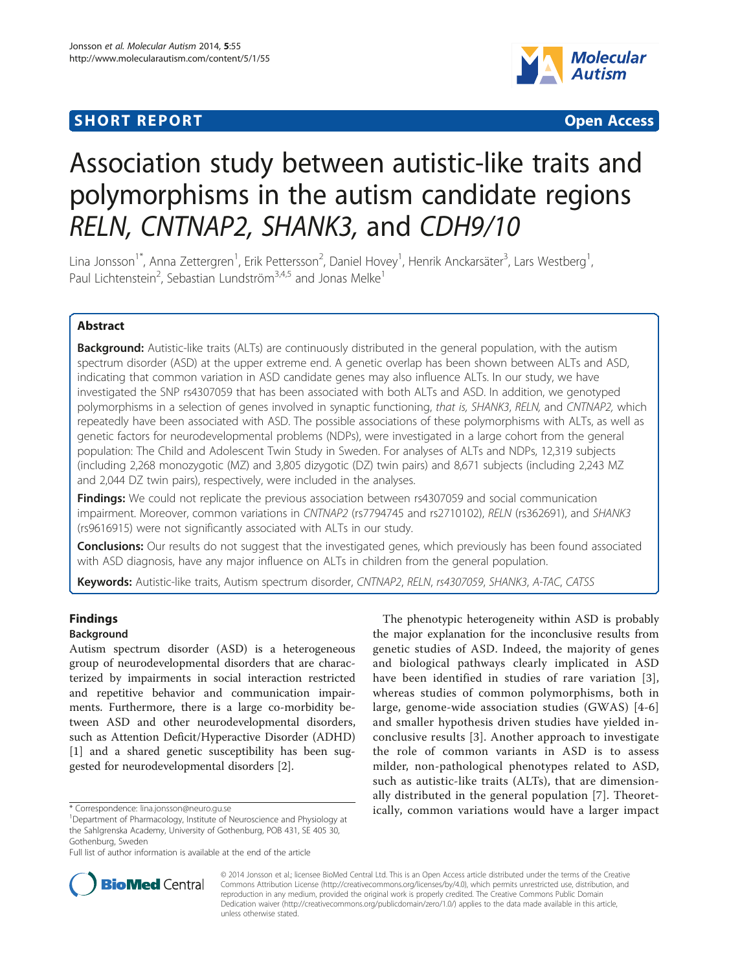## **SHORT REPORT SHORT CONSUMING THE SHORT CONSUMING THE SHORT CONSUMING THE SHORT CONSUMING THE SHORT CONSUMING THE SHORT CONSUMING THE SHORT CONSUMING THE SHORT CONSUMING THE SHORT CONSUMING THE SHORT CONSUMING THE SHORT**



# Association study between autistic-like traits and polymorphisms in the autism candidate regions RELN, CNTNAP2, SHANK3, and CDH9/10

Lina Jonsson<sup>1\*</sup>, Anna Zettergren<sup>1</sup>, Erik Pettersson<sup>2</sup>, Daniel Hovey<sup>1</sup>, Henrik Anckarsäter<sup>3</sup>, Lars Westberg<sup>1</sup> , Paul Lichtenstein<sup>2</sup>, Sebastian Lundström<sup>3,4,5</sup> and Jonas Melke<sup>1</sup>

## Abstract

Background: Autistic-like traits (ALTs) are continuously distributed in the general population, with the autism spectrum disorder (ASD) at the upper extreme end. A genetic overlap has been shown between ALTs and ASD, indicating that common variation in ASD candidate genes may also influence ALTs. In our study, we have investigated the SNP rs4307059 that has been associated with both ALTs and ASD. In addition, we genotyped polymorphisms in a selection of genes involved in synaptic functioning, that is, SHANK3, RELN, and CNTNAP2, which repeatedly have been associated with ASD. The possible associations of these polymorphisms with ALTs, as well as genetic factors for neurodevelopmental problems (NDPs), were investigated in a large cohort from the general population: The Child and Adolescent Twin Study in Sweden. For analyses of ALTs and NDPs, 12,319 subjects (including 2,268 monozygotic (MZ) and 3,805 dizygotic (DZ) twin pairs) and 8,671 subjects (including 2,243 MZ and 2,044 DZ twin pairs), respectively, were included in the analyses.

**Findings:** We could not replicate the previous association between rs4307059 and social communication impairment. Moreover, common variations in CNTNAP2 (rs7794745 and rs2710102), RELN (rs362691), and SHANK3 (rs9616915) were not significantly associated with ALTs in our study.

**Conclusions:** Our results do not suggest that the investigated genes, which previously has been found associated with ASD diagnosis, have any major influence on ALTs in children from the general population.

Keywords: Autistic-like traits, Autism spectrum disorder, CNTNAP2, RELN, rs4307059, SHANK3, A-TAC, CATSS

## Findings

## Background

Autism spectrum disorder (ASD) is a heterogeneous group of neurodevelopmental disorders that are characterized by impairments in social interaction restricted and repetitive behavior and communication impairments. Furthermore, there is a large co-morbidity between ASD and other neurodevelopmental disorders, such as Attention Deficit/Hyperactive Disorder (ADHD) [[1\]](#page-7-0) and a shared genetic susceptibility has been suggested for neurodevelopmental disorders [[2\]](#page-7-0).

The phenotypic heterogeneity within ASD is probably the major explanation for the inconclusive results from genetic studies of ASD. Indeed, the majority of genes and biological pathways clearly implicated in ASD have been identified in studies of rare variation [[3](#page-7-0)], whereas studies of common polymorphisms, both in large, genome-wide association studies (GWAS) [\[4-6](#page-7-0)] and smaller hypothesis driven studies have yielded inconclusive results [[3\]](#page-7-0). Another approach to investigate the role of common variants in ASD is to assess milder, non-pathological phenotypes related to ASD, such as autistic-like traits (ALTs), that are dimensionally distributed in the general population [\[7](#page-7-0)]. Theoret\* Correspondence: [lina.jonsson@neuro.gu.se](mailto:lina.jonsson@neuro.gu.se) https://www.fina.common.variations would have a larger impact



© 2014 Jonsson et al.; licensee BioMed Central Ltd. This is an Open Access article distributed under the terms of the Creative Commons Attribution License [\(http://creativecommons.org/licenses/by/4.0\)](http://creativecommons.org/licenses/by/4.0), which permits unrestricted use, distribution, and reproduction in any medium, provided the original work is properly credited. The Creative Commons Public Domain Dedication waiver [\(http://creativecommons.org/publicdomain/zero/1.0/](http://creativecommons.org/publicdomain/zero/1.0/)) applies to the data made available in this article, unless otherwise stated.

<sup>&</sup>lt;sup>1</sup>Department of Pharmacology, Institute of Neuroscience and Physiology at the Sahlgrenska Academy, University of Gothenburg, POB 431, SE 405 30, Gothenburg, Sweden

Full list of author information is available at the end of the article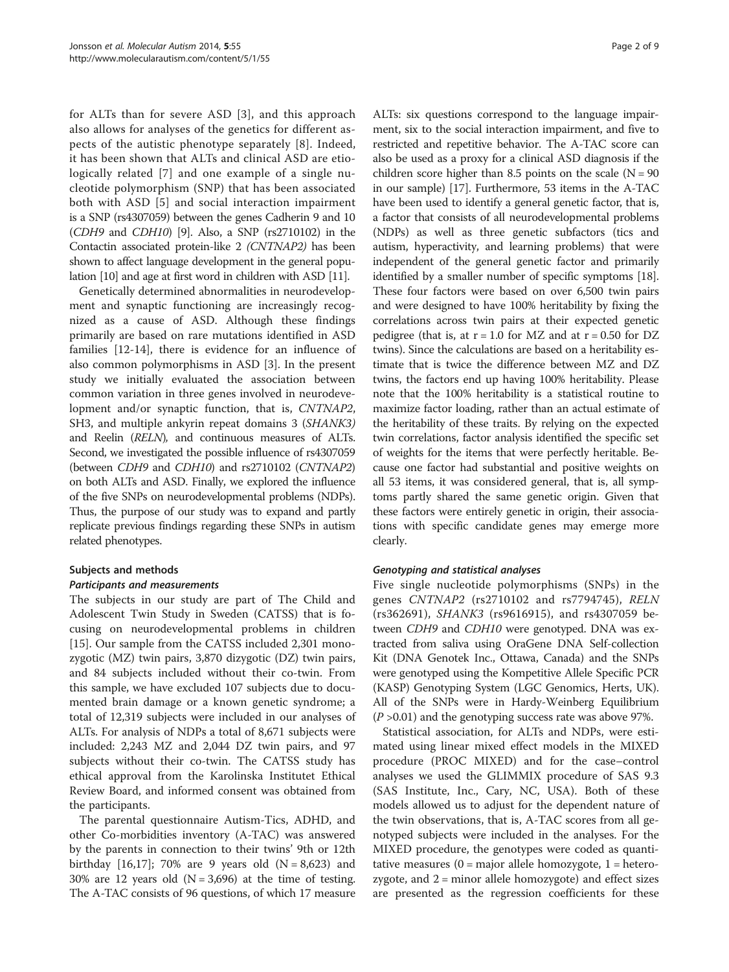for ALTs than for severe ASD [[3](#page-7-0)], and this approach also allows for analyses of the genetics for different aspects of the autistic phenotype separately [[8\]](#page-7-0). Indeed, it has been shown that ALTs and clinical ASD are etiologically related [[7](#page-7-0)] and one example of a single nucleotide polymorphism (SNP) that has been associated both with ASD [\[5](#page-7-0)] and social interaction impairment is a SNP (rs4307059) between the genes Cadherin 9 and 10 (CDH9 and CDH10) [\[9\]](#page-7-0). Also, a SNP (rs2710102) in the Contactin associated protein-like 2 (CNTNAP2) has been shown to affect language development in the general population [\[10\]](#page-8-0) and age at first word in children with ASD [\[11\]](#page-8-0).

Genetically determined abnormalities in neurodevelopment and synaptic functioning are increasingly recognized as a cause of ASD. Although these findings primarily are based on rare mutations identified in ASD families [\[12](#page-8-0)-[14\]](#page-8-0), there is evidence for an influence of also common polymorphisms in ASD [[3\]](#page-7-0). In the present study we initially evaluated the association between common variation in three genes involved in neurodevelopment and/or synaptic function, that is, CNTNAP2, SH3, and multiple ankyrin repeat domains 3 (SHANK3) and Reelin (RELN), and continuous measures of ALTs. Second, we investigated the possible influence of rs4307059 (between CDH9 and CDH10) and rs2710102 (CNTNAP2) on both ALTs and ASD. Finally, we explored the influence of the five SNPs on neurodevelopmental problems (NDPs). Thus, the purpose of our study was to expand and partly replicate previous findings regarding these SNPs in autism related phenotypes.

## Subjects and methods

## Participants and measurements

The subjects in our study are part of The Child and Adolescent Twin Study in Sweden (CATSS) that is focusing on neurodevelopmental problems in children [[15\]](#page-8-0). Our sample from the CATSS included 2,301 monozygotic (MZ) twin pairs, 3,870 dizygotic (DZ) twin pairs, and 84 subjects included without their co-twin. From this sample, we have excluded 107 subjects due to documented brain damage or a known genetic syndrome; a total of 12,319 subjects were included in our analyses of ALTs. For analysis of NDPs a total of 8,671 subjects were included: 2,243 MZ and 2,044 DZ twin pairs, and 97 subjects without their co-twin. The CATSS study has ethical approval from the Karolinska Institutet Ethical Review Board, and informed consent was obtained from the participants.

The parental questionnaire Autism-Tics, ADHD, and other Co-morbidities inventory (A-TAC) was answered by the parents in connection to their twins' 9th or 12th birthday [[16,17\]](#page-8-0); 70% are 9 years old  $(N = 8,623)$  and 30% are 12 years old  $(N = 3,696)$  at the time of testing. The A-TAC consists of 96 questions, of which 17 measure

ALTs: six questions correspond to the language impairment, six to the social interaction impairment, and five to restricted and repetitive behavior. The A-TAC score can also be used as a proxy for a clinical ASD diagnosis if the children score higher than 8.5 points on the scale  $(N = 90)$ in our sample) [\[17](#page-8-0)]. Furthermore, 53 items in the A-TAC have been used to identify a general genetic factor, that is, a factor that consists of all neurodevelopmental problems (NDPs) as well as three genetic subfactors (tics and autism, hyperactivity, and learning problems) that were independent of the general genetic factor and primarily identified by a smaller number of specific symptoms [[18](#page-8-0)]. These four factors were based on over 6,500 twin pairs and were designed to have 100% heritability by fixing the correlations across twin pairs at their expected genetic pedigree (that is, at  $r = 1.0$  for MZ and at  $r = 0.50$  for DZ twins). Since the calculations are based on a heritability estimate that is twice the difference between MZ and DZ twins, the factors end up having 100% heritability. Please note that the 100% heritability is a statistical routine to maximize factor loading, rather than an actual estimate of the heritability of these traits. By relying on the expected twin correlations, factor analysis identified the specific set of weights for the items that were perfectly heritable. Because one factor had substantial and positive weights on all 53 items, it was considered general, that is, all symptoms partly shared the same genetic origin. Given that these factors were entirely genetic in origin, their associations with specific candidate genes may emerge more clearly.

## Genotyping and statistical analyses

Five single nucleotide polymorphisms (SNPs) in the genes CNTNAP2 (rs2710102 and rs7794745), RELN (rs362691), SHANK3 (rs9616915), and rs4307059 between CDH9 and CDH10 were genotyped. DNA was extracted from saliva using OraGene DNA Self-collection Kit (DNA Genotek Inc., Ottawa, Canada) and the SNPs were genotyped using the Kompetitive Allele Specific PCR (KASP) Genotyping System (LGC Genomics, Herts, UK). All of the SNPs were in Hardy-Weinberg Equilibrium  $(P > 0.01)$  and the genotyping success rate was above 97%.

Statistical association, for ALTs and NDPs, were estimated using linear mixed effect models in the MIXED procedure (PROC MIXED) and for the case–control analyses we used the GLIMMIX procedure of SAS 9.3 (SAS Institute, Inc., Cary, NC, USA). Both of these models allowed us to adjust for the dependent nature of the twin observations, that is, A-TAC scores from all genotyped subjects were included in the analyses. For the MIXED procedure, the genotypes were coded as quantitative measures  $(0 = \text{major}$  allele homozygote,  $1 = \text{hetero}$ zygote, and 2 = minor allele homozygote) and effect sizes are presented as the regression coefficients for these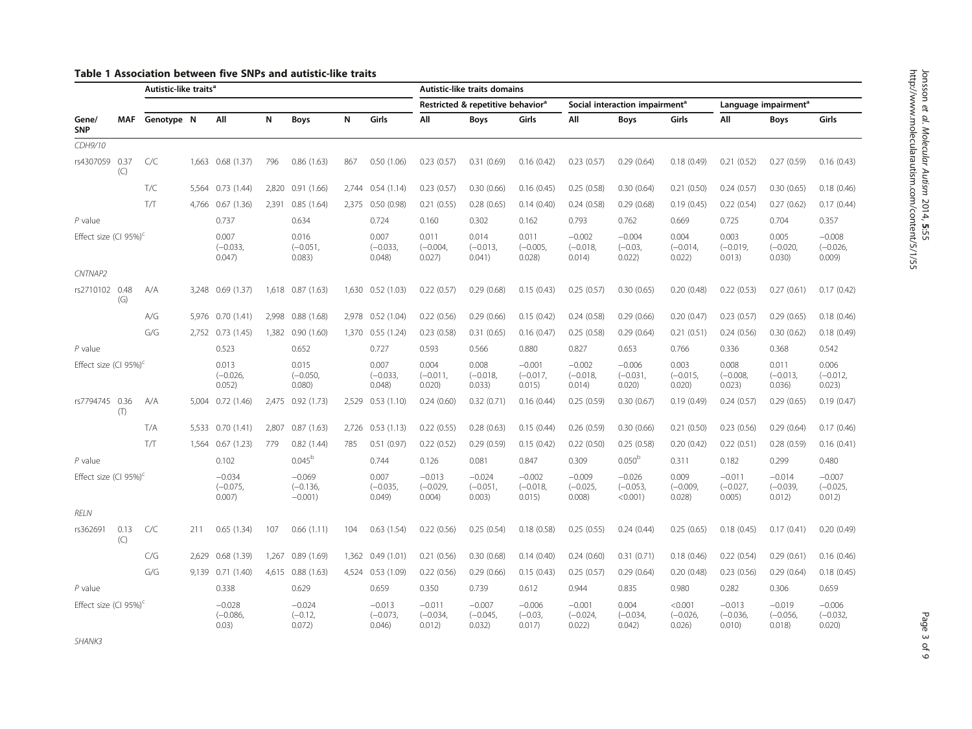## <span id="page-2-0"></span>Table 1 Association between five SNPs and autistic-like traits

|                                   |             | Autistic-like traits <sup>a</sup> |       |                                  |       |                                      |       |                                  | Autistic-like traits domains     |                                               |                                  |                                  |                                            |                                |                                  |                                  |                                  |
|-----------------------------------|-------------|-----------------------------------|-------|----------------------------------|-------|--------------------------------------|-------|----------------------------------|----------------------------------|-----------------------------------------------|----------------------------------|----------------------------------|--------------------------------------------|--------------------------------|----------------------------------|----------------------------------|----------------------------------|
|                                   |             |                                   |       |                                  |       |                                      |       |                                  |                                  | Restricted & repetitive behavior <sup>a</sup> |                                  |                                  | Social interaction impairment <sup>a</sup> |                                |                                  | Language impairment <sup>a</sup> |                                  |
| Gene/<br><b>SNP</b>               | <b>MAF</b>  | Genotype N                        |       | All                              | N     | <b>Boys</b>                          | N     | Girls                            | All                              | <b>Boys</b>                                   | Girls                            | All                              | <b>Boys</b>                                | <b>Girls</b>                   | All                              | <b>Boys</b>                      | Girls                            |
| CDH9/10                           |             |                                   |       |                                  |       |                                      |       |                                  |                                  |                                               |                                  |                                  |                                            |                                |                                  |                                  |                                  |
| rs4307059 0.37                    | (C)         | C/C                               |       | 1,663 0.68 (1.37)                | 796   | 0.86(1.63)                           | 867   | 0.50(1.06)                       | 0.23(0.57)                       | 0.31(0.69)                                    | 0.16(0.42)                       | 0.23(0.57)                       | 0.29(0.64)                                 | 0.18(0.49)                     | 0.21(0.52)                       | 0.27(0.59)                       | 0.16(0.43)                       |
|                                   |             | T/C                               |       | 5,564 0.73 (1.44)                | 2,820 | 0.91(1.66)                           |       | 2,744 0.54 (1.14)                | 0.23(0.57)                       | 0.30(0.66)                                    | 0.16(0.45)                       | 0.25(0.58)                       | 0.30(0.64)                                 | 0.21(0.50)                     | 0.24(0.57)                       | 0.30(0.65)                       | 0.18(0.46)                       |
|                                   |             | T/T                               | 4,766 | 0.67(1.36)                       | 2,391 | 0.85(1.64)                           |       | 2,375 0.50 (0.98)                | 0.21(0.55)                       | 0.28(0.65)                                    | 0.14(0.40)                       | 0.24(0.58)                       | 0.29(0.68)                                 | 0.19(0.45)                     | 0.22(0.54)                       | 0.27(0.62)                       | 0.17(0.44)                       |
| $P$ value                         |             |                                   |       | 0.737                            |       | 0.634                                |       | 0.724                            | 0.160                            | 0.302                                         | 0.162                            | 0.793                            | 0.762                                      | 0.669                          | 0.725                            | 0.704                            | 0.357                            |
| Effect size (CI 95%) <sup>c</sup> |             |                                   |       | 0.007<br>$(-0.033,$<br>0.047     |       | 0.016<br>$(-0.051,$<br>0.083)        |       | 0.007<br>$(-0.033,$<br>0.048     | 0.011<br>$(-0.004,$<br>0.027     | 0.014<br>$(-0.013,$<br>0.041)                 | 0.011<br>$(-0.005,$<br>0.028     | $-0.002$<br>$(-0.018,$<br>0.014) | $-0.004$<br>$(-0.03,$<br>0.022)            | 0.004<br>$(-0.014,$<br>0.022)  | 0.003<br>$(-0.019,$<br>0.013)    | 0.005<br>$(-0.020)$<br>0.030)    | $-0.008$<br>$(-0.026,$<br>0.009) |
| CNTNAP2                           |             |                                   |       |                                  |       |                                      |       |                                  |                                  |                                               |                                  |                                  |                                            |                                |                                  |                                  |                                  |
| rs2710102 0.48                    | (G)         | A/A                               |       | 3,248 0.69 (1.37)                |       | 1,618 0.87 (1.63)                    |       | 1,630 0.52 (1.03)                | 0.22(0.57)                       | 0.29(0.68)                                    | 0.15(0.43)                       | 0.25(0.57)                       | 0.30(0.65)                                 | 0.20(0.48)                     | 0.22(0.53)                       | 0.27(0.61)                       | 0.17(0.42)                       |
|                                   |             | A/G                               |       | 5,976 0.70 (1.41)                | 2.998 | 0.88(1.68)                           |       | 2,978 0.52 (1.04)                | 0.22(0.56)                       | 0.29(0.66)                                    | 0.15(0.42)                       | 0.24(0.58)                       | 0.29(0.66)                                 | 0.20(0.47)                     | 0.23(0.57)                       | 0.29(0.65)                       | 0.18(0.46)                       |
|                                   |             | G/G                               |       | 2,752 0.73 (1.45)                | 1,382 | 0.90(1.60)                           |       | 1,370 0.55 (1.24)                | 0.23(0.58)                       | 0.31(0.65)                                    | 0.16(0.47)                       | 0.25(0.58)                       | 0.29(0.64)                                 | 0.21(0.51)                     | 0.24(0.56)                       | 0.30(0.62)                       | 0.18(0.49)                       |
| $P$ value                         |             |                                   |       | 0.523                            |       | 0.652                                |       | 0.727                            | 0.593                            | 0.566                                         | 0.880                            | 0.827                            | 0.653                                      | 0.766                          | 0.336                            | 0.368                            | 0.542                            |
| Effect size (CI 95%) <sup>c</sup> |             |                                   |       | 0.013<br>$(-0.026.$<br>0.052)    |       | 0.015<br>$(-0.050,$<br>0.080         |       | 0.007<br>$(-0.033,$<br>0.048     | 0.004<br>$(-0.011.$<br>0.020     | 0.008<br>$(-0.018,$<br>0.033)                 | $-0.001$<br>$(-0.017,$<br>0.015  | $-0.002$<br>$(-0.018,$<br>0.014) | $-0.006$<br>$(-0.031,$<br>0.020)           | 0.003<br>$(-0.015,$<br>0.020   | 0.008<br>$(-0.008,$<br>0.023)    | 0.011<br>$(-0.013,$<br>0.036     | 0.006<br>$(-0.012,$<br>0.023)    |
| rs7794745 0.36                    | (T)         | A/A                               |       | 5,004 0.72 (1.46)                | 2.475 | 0.92(1.73)                           |       | 2.529 0.53 (1.10)                | 0.24(0.60)                       | 0.32(0.71)                                    | 0.16(0.44)                       | 0.25(0.59)                       | 0.30(0.67)                                 | 0.19(0.49)                     | 0.24(0.57)                       | 0.29(0.65)                       | 0.19(0.47)                       |
|                                   |             | T/A                               |       | 5.533 0.70 (1.41)                | 2.807 | 0.87(1.63)                           |       | 2,726 0.53 (1.13)                | 0.22(0.55)                       | 0.28(0.63)                                    | 0.15(0.44)                       | 0.26(0.59)                       | 0.30(0.66)                                 | 0.21(0.50)                     | 0.23(0.56)                       | 0.29(0.64)                       | 0.17(0.46)                       |
|                                   |             | T/T                               |       | 1,564 0.67 (1.23)                | 779   | 0.82(1.44)                           | 785   | 0.51(0.97)                       | 0.22(0.52)                       | 0.29(0.59)                                    | 0.15(0.42)                       | 0.22(0.50)                       | 0.25(0.58)                                 | 0.20(0.42)                     | 0.22(0.51)                       | 0.28(0.59)                       | 0.16(0.41)                       |
| $P$ value                         |             |                                   |       | 0.102                            |       | $0.045^{\rm b}$                      |       | 0.744                            | 0.126                            | 0.081                                         | 0.847                            | 0.309                            | 0.050 <sup>b</sup>                         | 0.311                          | 0.182                            | 0.299                            | 0.480                            |
| Effect size (CI 95%) <sup>c</sup> |             |                                   |       | $-0.034$<br>$(-0.075,$<br>0.007) |       | $-0.069$<br>$(-0.136,$<br>$-0.001$ ) |       | 0.007<br>$(-0.035,$<br>0.049     | $-0.013$<br>$(-0.029,$<br>0.004) | $-0.024$<br>$(-0.051,$<br>0.003)              | $-0.002$<br>$(-0.018,$<br>0.015) | $-0.009$<br>$(-0.025,$<br>0.008  | $-0.026$<br>$(-0.053,$<br>$< 0.001$ )      | 0.009<br>$(-0.009,$<br>0.028   | $-0.011$<br>$(-0.027,$<br>0.005) | $-0.014$<br>$(-0.039)$<br>0.012) | $-0.007$<br>$(-0.025,$<br>0.012) |
| <b>RELN</b>                       |             |                                   |       |                                  |       |                                      |       |                                  |                                  |                                               |                                  |                                  |                                            |                                |                                  |                                  |                                  |
| rs362691                          | 0.13<br>(C) | C/C                               | 211   | 0.65(1.34)                       | 107   | 0.66(1.11)                           | 104   | 0.63(1.54)                       | 0.22(0.56)                       | 0.25(0.54)                                    | 0.18(0.58)                       | 0.25(0.55)                       | 0.24(0.44)                                 | 0.25(0.65)                     | 0.18(0.45)                       | 0.17(0.41)                       | 0.20(0.49)                       |
|                                   |             | C/G                               | 2.629 | 0.68(1.39)                       | 1,267 | 0.89(1.69)                           | 1.362 | 0.49(1.01)                       | 0.21(0.56)                       | 0.30(0.68)                                    | 0.14(0.40)                       | 0.24(0.60)                       | 0.31(0.71)                                 | 0.18(0.46)                     | 0.22(0.54)                       | 0.29(0.61)                       | 0.16(0.46)                       |
|                                   |             | G/G                               | 9.139 | 0.71(1.40)                       | 4.615 | 0.88(1.63)                           |       | 4,524 0.53 (1.09)                | 0.22(0.56)                       | 0.29(0.66)                                    | 0.15(0.43)                       | 0.25(0.57)                       | 0.29(0.64)                                 | 0.20(0.48)                     | 0.23(0.56)                       | 0.29(0.64)                       | 0.18(0.45)                       |
| $P$ value                         |             |                                   |       | 0.338                            |       | 0.629                                |       | 0.659                            | 0.350                            | 0.739                                         | 0.612                            | 0.944                            | 0.835                                      | 0.980                          | 0.282                            | 0.306                            | 0.659                            |
| Effect size (CI 95%) <sup>c</sup> |             |                                   |       | $-0.028$<br>$(-0.086,$<br>0.03)  |       | $-0.024$<br>$(-0.12,$<br>0.072       |       | $-0.013$<br>$(-0.073,$<br>0.046) | $-0.011$<br>$(-0.034,$<br>0.012) | $-0.007$<br>$(-0.045,$<br>0.032)              | $-0.006$<br>$(-0.03,$<br>0.017   | $-0.001$<br>$(-0.024,$<br>0.022  | 0.004<br>$(-0.034,$<br>0.042               | < 0.001<br>$(-0.026,$<br>0.026 | $-0.013$<br>$(-0.036,$<br>0.010  | $-0.019$<br>$(-0.056)$<br>0.018  | $-0.006$<br>$(-0.032,$<br>0.020  |

SHANK3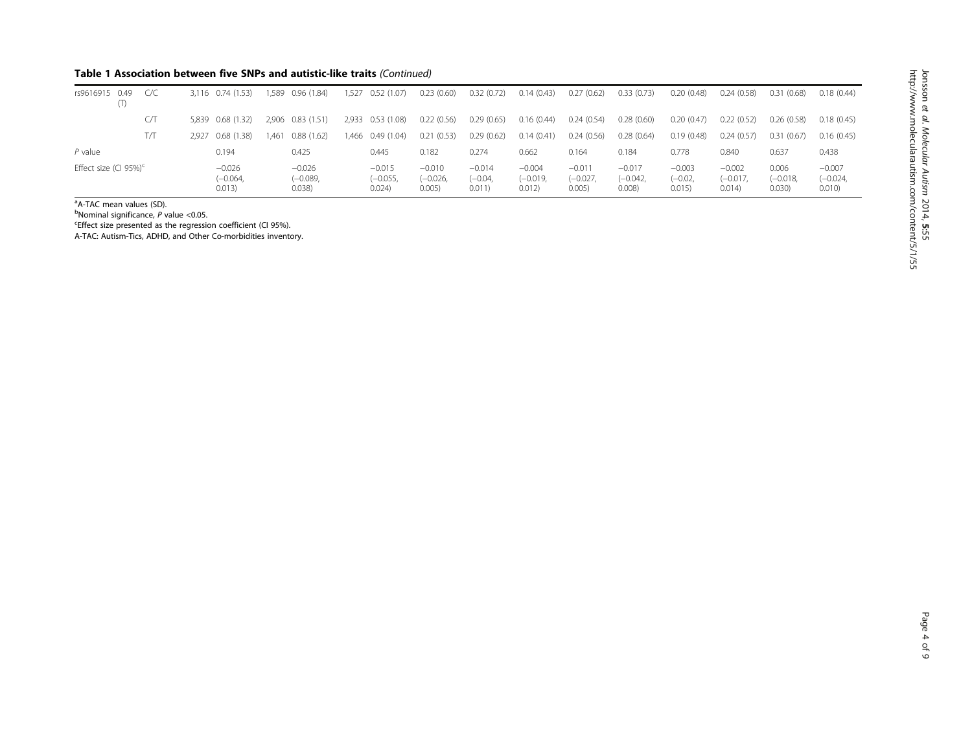## Table 1 Association between five SNPs and autistic-like traits (Continued)

| rs9616915 0.49<br>(T)    | C/C |       | 3.116 0.74 (1.53)                | .589  | 0.96(1.84)                      | 1.527 | 0.52(1.07)                       | 0.23(0.60)                       | 0.32(0.72)                      | 0.14(0.43)                       | 0.27(0.62)                       | 0.33(0.73)                       | 0.20(0.48)                      | 0.24(0.58)                       | 0.31(0.68)                   | 0.18(0.44)                       |
|--------------------------|-----|-------|----------------------------------|-------|---------------------------------|-------|----------------------------------|----------------------------------|---------------------------------|----------------------------------|----------------------------------|----------------------------------|---------------------------------|----------------------------------|------------------------------|----------------------------------|
|                          | CЛ  |       | 5.839 0.68 (1.32)                | 2.906 | 0.83(1.51)                      |       | 2,933 0.53 (1.08)                | 0.22(0.56)                       | 0.29(0.65)                      | 0.16(0.44)                       | 0.24(0.54)                       | 0.28(0.60)                       | 0.20(0.47)                      | 0.22(0.52)                       | 0.26(0.58)                   | 0.18(0.45)                       |
|                          | T/T | 2.927 | 0.68 (1.38)                      | .461  | 0.88(1.62)                      |       | 1,466 0.49 (1.04)                | 0.21(0.53)                       | 0.29(0.62)                      | 0.14(0.41)                       | 0.24(0.56)                       | 0.28(0.64)                       | 0.19(0.48)                      | 0.24(0.57)                       | 0.31<br>(0.67)               | 0.16(0.45)                       |
| $P$ value                |     |       | 0.194                            |       | 0.425                           |       | 0.445                            | 0.182                            | 0.274                           | 0.662                            | 0.164                            | 0.184                            | 0.778                           | 0.840                            | 0.637                        | 0.438                            |
| Effect size (CI 95%) $c$ |     |       | $-0.026$<br>$(-0.064,$<br>0.013) |       | $-0.026$<br>$(-0.089,$<br>0.038 |       | $-0.015$<br>$(-0.055,$<br>0.024) | $-0.010$<br>$(-0.026,$<br>0.005) | $-0.014$<br>$(-0.04,$<br>0.011) | $-0.004$<br>$(-0.019,$<br>0.012) | $-0.011$<br>$(-0.027,$<br>0.005) | $-0.017$<br>$(-0.042,$<br>0.008) | $-0.003$<br>$(-0.02,$<br>0.015) | $-0.002$<br>$(-0.017,$<br>0.014) | 0.006<br>$(-0.018,$<br>0.030 | $-0.007$<br>$(-0.024,$<br>0.010) |

<sup>a</sup>A-TAC mean values (SD).

<sup>b</sup>Nominal significance,  $\overline{P}$  value <0.05.

<sup>b</sup>Nominal significance, *P* value <0.05.<br><sup>c</sup>Effect size presented as the regression coefficient (CI 95%).

A-TAC: Autism-Tics, ADHD, and Other Co-morbidities inventory.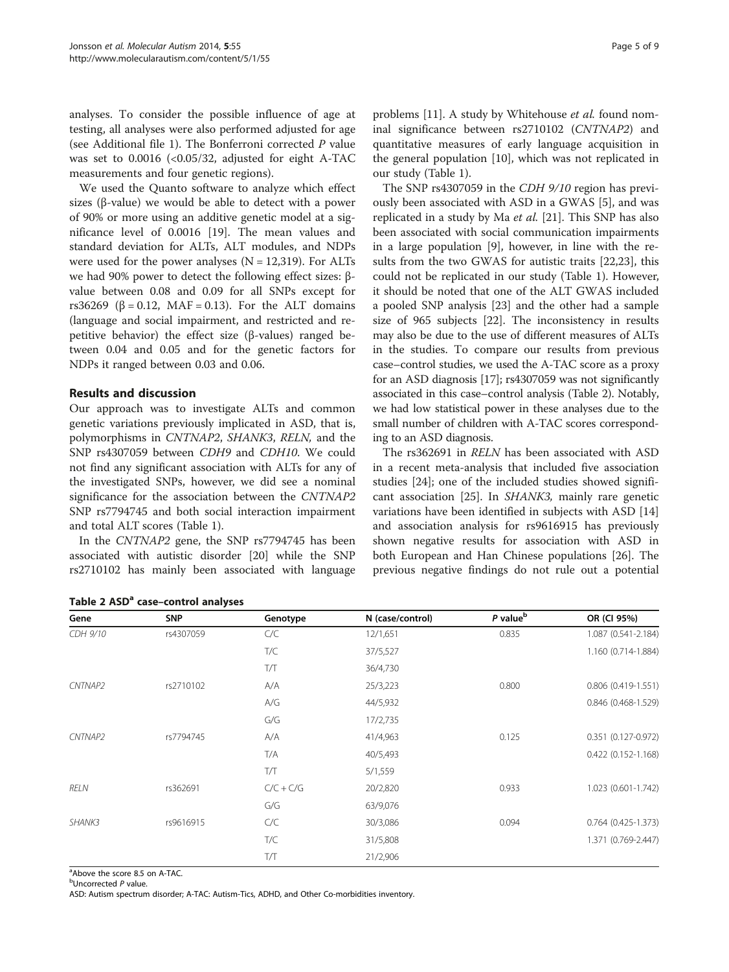analyses. To consider the possible influence of age at testing, all analyses were also performed adjusted for age (see Additional file [1\)](#page-7-0). The Bonferroni corrected  $P$  value was set to 0.0016 (<0.05/32, adjusted for eight A-TAC measurements and four genetic regions).

We used the Quanto software to analyze which effect sizes ( $\beta$ -value) we would be able to detect with a power of 90% or more using an additive genetic model at a significance level of 0.0016 [\[19\]](#page-8-0). The mean values and standard deviation for ALTs, ALT modules, and NDPs were used for the power analyses  $(N = 12,319)$ . For ALTs we had 90% power to detect the following effect sizes: βvalue between 0.08 and 0.09 for all SNPs except for rs36269 ( $\beta$  = 0.12, MAF = 0.13). For the ALT domains (language and social impairment, and restricted and repetitive behavior) the effect size (β-values) ranged between 0.04 and 0.05 and for the genetic factors for NDPs it ranged between 0.03 and 0.06.

## Results and discussion

Our approach was to investigate ALTs and common genetic variations previously implicated in ASD, that is, polymorphisms in CNTNAP2, SHANK3, RELN, and the SNP rs4307059 between CDH9 and CDH10. We could not find any significant association with ALTs for any of the investigated SNPs, however, we did see a nominal significance for the association between the CNTNAP2 SNP rs7794745 and both social interaction impairment and total ALT scores (Table [1\)](#page-2-0).

In the CNTNAP2 gene, the SNP rs7794745 has been associated with autistic disorder [[20](#page-8-0)] while the SNP rs2710102 has mainly been associated with language problems [[11\]](#page-8-0). A study by Whitehouse et al. found nominal significance between rs2710102 (CNTNAP2) and quantitative measures of early language acquisition in the general population [[10\]](#page-8-0), which was not replicated in our study (Table [1\)](#page-2-0).

The SNP rs4307059 in the CDH 9/10 region has previously been associated with ASD in a GWAS [\[5](#page-7-0)], and was replicated in a study by Ma et al. [\[21\]](#page-8-0). This SNP has also been associated with social communication impairments in a large population [\[9](#page-7-0)], however, in line with the results from the two GWAS for autistic traits [\[22,23](#page-8-0)], this could not be replicated in our study (Table [1\)](#page-2-0). However, it should be noted that one of the ALT GWAS included a pooled SNP analysis [[23\]](#page-8-0) and the other had a sample size of 965 subjects [[22\]](#page-8-0). The inconsistency in results may also be due to the use of different measures of ALTs in the studies. To compare our results from previous case–control studies, we used the A-TAC score as a proxy for an ASD diagnosis [[17](#page-8-0)]; rs4307059 was not significantly associated in this case–control analysis (Table 2). Notably, we had low statistical power in these analyses due to the small number of children with A-TAC scores corresponding to an ASD diagnosis.

The rs362691 in RELN has been associated with ASD in a recent meta-analysis that included five association studies [[24\]](#page-8-0); one of the included studies showed significant association [\[25](#page-8-0)]. In SHANK3, mainly rare genetic variations have been identified in subjects with ASD [[14](#page-8-0)] and association analysis for rs9616915 has previously shown negative results for association with ASD in both European and Han Chinese populations [\[26\]](#page-8-0). The previous negative findings do not rule out a potential

| Gene        | <b>SNP</b> | Genotype    | N (case/control) | P value <sup>b</sup> | OR (CI 95%)           |
|-------------|------------|-------------|------------------|----------------------|-----------------------|
| CDH 9/10    | rs4307059  | C/C         | 12/1,651         | 0.835                | 1.087 (0.541-2.184)   |
|             |            | T/C         | 37/5,527         |                      | 1.160 (0.714-1.884)   |
|             |            | T/T         | 36/4,730         |                      |                       |
| CNTNAP2     | rs2710102  | A/A         | 25/3,223         | 0.800                | $0.806$ (0.419-1.551) |
|             |            | A/G         | 44/5,932         |                      | 0.846 (0.468-1.529)   |
|             |            | G/G         | 17/2,735         |                      |                       |
| CNTNAP2     | rs7794745  | A/A         | 41/4,963         | 0.125                | 0.351 (0.127-0.972)   |
|             |            | T/A         | 40/5,493         |                      | 0.422 (0.152-1.168)   |
|             |            | T/T         | 5/1,559          |                      |                       |
| <b>RELN</b> | rs362691   | $C/C + C/G$ | 20/2,820         | 0.933                | 1.023 (0.601-1.742)   |
|             |            | G/G         | 63/9,076         |                      |                       |
| SHANK3      | rs9616915  | C/C         | 30/3,086         | 0.094                | $0.764$ (0.425-1.373) |
|             |            | T/C         | 31/5,808         |                      | 1.371 (0.769-2.447)   |
|             |            | T/T         | 21/2,906         |                      |                       |

Table 2 ASD<sup>a</sup> case–control analyses

<sup>a</sup>Above the score 8.5 on A-TAC.

<sup>b</sup>Uncorrected P value.

ASD: Autism spectrum disorder; A-TAC: Autism-Tics, ADHD, and Other Co-morbidities inventory.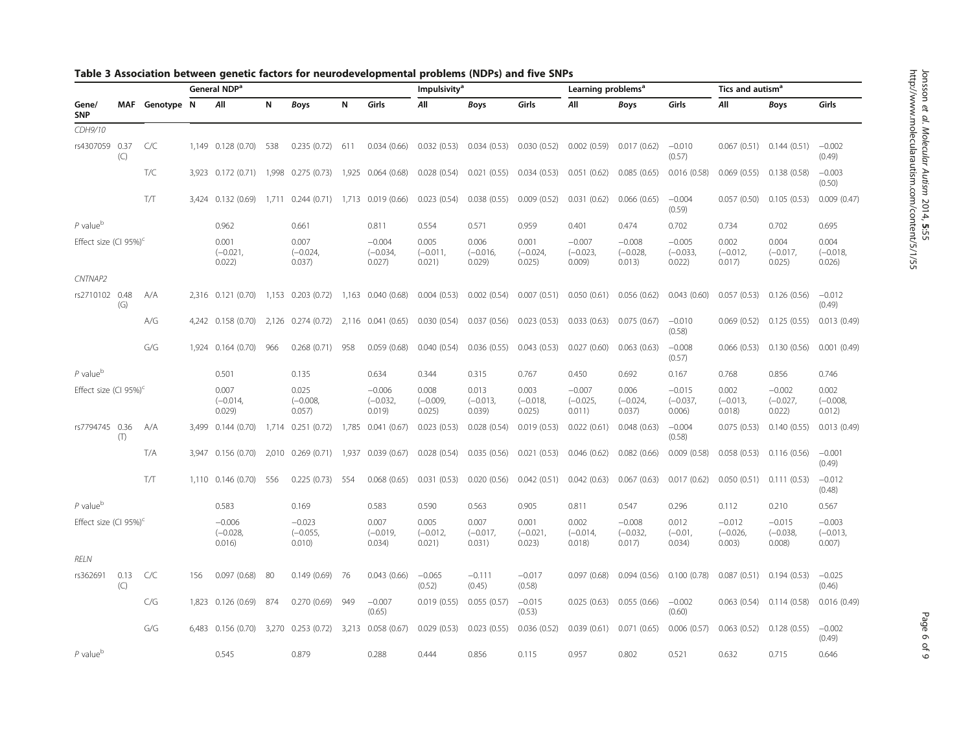|                                   |             |                |     | General NDP <sup>a</sup>         |       |                                  |       |                                  |                               | Impulsivity <sup>a</sup>      |                               |                                  | Learning problems <sup>a</sup>   |                                  |                                  | Tics and autism <sup>a</sup>     |                                  |  |
|-----------------------------------|-------------|----------------|-----|----------------------------------|-------|----------------------------------|-------|----------------------------------|-------------------------------|-------------------------------|-------------------------------|----------------------------------|----------------------------------|----------------------------------|----------------------------------|----------------------------------|----------------------------------|--|
| Gene/<br><b>SNP</b>               |             | MAF Genotype N |     | All                              | N     | <b>Boys</b>                      | N     | Girls                            | All                           | <b>Boys</b>                   | Girls                         | All                              | Boys                             | Girls                            | All                              | <b>Boys</b>                      | Girls                            |  |
| CDH9/10                           |             |                |     |                                  |       |                                  |       |                                  |                               |                               |                               |                                  |                                  |                                  |                                  |                                  |                                  |  |
| rs4307059 0.37                    | (C)         | C/C            |     | 1,149 0.128 (0.70)               | 538   | 0.235(0.72)                      | 611   | 0.034(0.66)                      | 0.032(0.53)                   | 0.034(0.53)                   | 0.030(0.52)                   | 0.002(0.59)                      | 0.017(0.62)                      | $-0.010$<br>(0.57)               | 0.067(0.51)                      | 0.144(0.51)                      | $-0.002$<br>(0.49)               |  |
|                                   |             | T/C            |     | 3,923 0.172 (0.71)               | 1,998 | 0.275(0.73)                      |       | 1,925 0.064 (0.68)               | 0.028(0.54)                   | 0.021(0.55)                   | 0.034(0.53)                   | 0.051(0.62)                      | 0.085(0.65)                      | 0.016(0.58)                      | 0.069(0.55)                      | 0.138(0.58)                      | $-0.003$<br>(0.50)               |  |
|                                   |             | <b>T/T</b>     |     | 3,424 0.132 (0.69)               |       | 1,711 0.244 (0.71)               |       | 1,713 0.019 (0.66)               | 0.023(0.54)                   | 0.038(0.55)                   | 0.009(0.52)                   | 0.031(0.62)                      | 0.066(0.65)                      | $-0.004$<br>(0.59)               | 0.057(0.50)                      | 0.105(0.53)                      | 0.009(0.47)                      |  |
| $P$ value $^{\rm b}$              |             |                |     | 0.962                            |       | 0.661                            |       | 0.811                            | 0.554                         | 0.571                         | 0.959                         | 0.401                            | 0.474                            | 0.702                            | 0.734                            | 0.702                            | 0.695                            |  |
| Effect size (CI 95%) <sup>c</sup> |             |                |     | 0.001<br>$(-0.021,$<br>0.022)    |       | 0.007<br>$(-0.024,$<br>0.037)    |       | $-0.004$<br>$(-0.034,$<br>0.027) | 0.005<br>$(-0.011,$<br>0.021) | 0.006<br>$(-0.016,$<br>0.029) | 0.001<br>$(-0.024,$<br>0.025) | $-0.007$<br>$(-0.023,$<br>0.009) | $-0.008$<br>$(-0.028,$<br>0.013) | $-0.005$<br>$(-0.033,$<br>0.022) | 0.002<br>$(-0.012,$<br>0.017)    | 0.004<br>$(-0.017,$<br>0.025)    | 0.004<br>$(-0.018,$<br>0.026)    |  |
| CNTNAP2                           |             |                |     |                                  |       |                                  |       |                                  |                               |                               |                               |                                  |                                  |                                  |                                  |                                  |                                  |  |
| rs2710102 0.48                    | (G)         | A/A            |     | 2,316 0.121 (0.70)               | 1,153 | 0.203(0.72)                      | 1,163 | 0.040(0.68)                      | 0.004(0.53)                   | 0.002(0.54)                   | 0.007(0.51)                   | 0.050(0.61)                      | 0.056(0.62)                      | 0.043(0.60)                      | 0.057(0.53)                      | 0.126(0.56)                      | $-0.012$<br>(0.49)               |  |
|                                   |             | A/G            |     | 4,242 0.158 (0.70)               | 2,126 | 0.274(0.72)                      |       | 2,116 0.041 (0.65)               | 0.030(0.54)                   | 0.037(0.56)                   | 0.023(0.53)                   | 0.033(0.63)                      | 0.075(0.67)                      | $-0.010$<br>(0.58)               | 0.069(0.52)                      | 0.125(0.55)                      | 0.013(0.49)                      |  |
|                                   |             | G/G            |     | 1,924 0.164 (0.70)               | 966   | 0.268(0.71)                      | 958   | 0.059(0.68)                      | 0.040(0.54)                   | 0.036(0.55)                   | 0.043(0.53)                   | 0.027(0.60)                      | 0.063(0.63)                      | $-0.008$<br>(0.57)               | 0.066(0.53)                      | 0.130(0.56)                      | 0.001(0.49)                      |  |
| $P$ value $b$                     |             |                |     | 0.501                            |       | 0.135                            |       | 0.634                            | 0.344                         | 0.315                         | 0.767                         | 0.450                            | 0.692                            | 0.167                            | 0.768                            | 0.856                            | 0.746                            |  |
| Effect size (CI 95%) $c$          |             |                |     | 0.007<br>$(-0.014,$<br>0.029     |       | 0.025<br>$(-0.008,$<br>0.057)    |       | $-0.006$<br>$(-0.032,$<br>0.019  | 0.008<br>$(-0.009,$<br>0.025) | 0.013<br>$(-0.013,$<br>0.039) | 0.003<br>$(-0.018,$<br>0.025) | $-0.007$<br>$(-0.025,$<br>0.011) | 0.006<br>$(-0.024,$<br>0.037)    | $-0.015$<br>$(-0.037,$<br>0.006) | 0.002<br>$(-0.013,$<br>0.018     | $-0.002$<br>$(-0.027,$<br>0.022) | 0.002<br>$(-0.008,$<br>0.012)    |  |
| rs7794745 0.36                    | (T)         | A/A            |     | 3.499 0.144 (0.70)               |       | 1,714 0.251 (0.72)               |       | 1,785 0.041 (0.67)               | 0.023(0.53)                   | 0.028(0.54)                   | 0.019(0.53)                   | 0.022(0.61)                      | 0.048(0.63)                      | $-0.004$<br>(0.58)               | 0.075(0.53)                      | 0.140(0.55)                      | 0.013(0.49)                      |  |
|                                   |             | T/A            |     | 3,947 0.156 (0.70)               | 2,010 | 0.269(0.71)                      | 1,937 | 0.039(0.67)                      | 0.028(0.54)                   | 0.035(0.56)                   | 0.021(0.53)                   | 0.046(0.62)                      | 0.082(0.66)                      | 0.009(0.58)                      | 0.058(0.53)                      | 0.116(0.56)                      | $-0.001$<br>(0.49)               |  |
|                                   |             | T/T            |     | 1,110 0.146 (0.70)               | 556   | 0.225(0.73)                      | 554   | 0.068(0.65)                      | 0.031(0.53)                   | 0.020(0.56)                   | 0.042(0.51)                   | 0.042(0.63)                      | 0.067(0.63)                      | 0.017(0.62)                      |                                  | $0.050(0.51)$ $0.111(0.53)$      | $-0.012$<br>(0.48)               |  |
| $P$ value $^{\rm b}$              |             |                |     | 0.583                            |       | 0.169                            |       | 0.583                            | 0.590                         | 0.563                         | 0.905                         | 0.811                            | 0.547                            | 0.296                            | 0.112                            | 0.210                            | 0.567                            |  |
| Effect size (CI 95%) $c$          |             |                |     | $-0.006$<br>$(-0.028,$<br>0.016) |       | $-0.023$<br>$(-0.055,$<br>0.010) |       | 0.007<br>$(-0.019,$<br>0.034)    | 0.005<br>$(-0.012,$<br>0.021) | 0.007<br>$(-0.017,$<br>0.031) | 0.001<br>$(-0.021,$<br>0.023) | 0.002<br>$(-0.014,$<br>0.018     | $-0.008$<br>$(-0.032,$<br>0.017) | 0.012<br>$(-0.01,$<br>0.034)     | $-0.012$<br>$(-0.026,$<br>0.003) | $-0.015$<br>$(-0.038,$<br>0.008) | $-0.003$<br>$(-0.013,$<br>0.007) |  |
| RELN                              |             |                |     |                                  |       |                                  |       |                                  |                               |                               |                               |                                  |                                  |                                  |                                  |                                  |                                  |  |
| rs362691                          | 0.13<br>(C) | C/C            | 156 | 0.097(0.68)                      | 80    | 0.149(0.69)                      | 76    | 0.043(0.66)                      | $-0.065$<br>(0.52)            | $-0.111$<br>(0.45)            | $-0.017$<br>(0.58)            | 0.097(0.68)                      | 0.094(0.56)                      | 0.100(0.78)                      |                                  | $0.087(0.51)$ 0.194 (0.53)       | $-0.025$<br>(0.46)               |  |
|                                   |             | C/G            |     | 1,823 0.126 (0.69)               | 874   | 0.270(0.69)                      | 949   | $-0.007$<br>(0.65)               | 0.019(0.55)                   | 0.055(0.57)                   | $-0.015$<br>(0.53)            | 0.025(0.63)                      | 0.055(0.66)                      | $-0.002$<br>(0.60)               | 0.063(0.54)                      | 0.114(0.58)                      | 0.016(0.49)                      |  |
|                                   |             | G/G            |     | 6,483 0.156 (0.70)               | 3.270 | 0.253(0.72)                      |       | 3,213 0.058 (0.67)               | 0.029(0.53)                   | 0.023(0.55)                   | 0.036(0.52)                   | 0.039(0.61)                      | 0.071(0.65)                      | 0.006(0.57)                      | 0.063(0.52)                      | 0.128(0.55)                      | $-0.002$<br>(0.49)               |  |
| $P$ value <sup>b</sup>            |             |                |     | 0.545                            |       | 0.879                            |       | 0.288                            | 0.444                         | 0.856                         | 0.115                         | 0.957                            | 0.802                            | 0.521                            | 0.632                            | 0.715                            | 0.646                            |  |

<span id="page-5-0"></span>

| Table 3 Association between genetic factors for neurodevelopmental problems (NDPs) and five SNPs |  |  |
|--------------------------------------------------------------------------------------------------|--|--|
|                                                                                                  |  |  |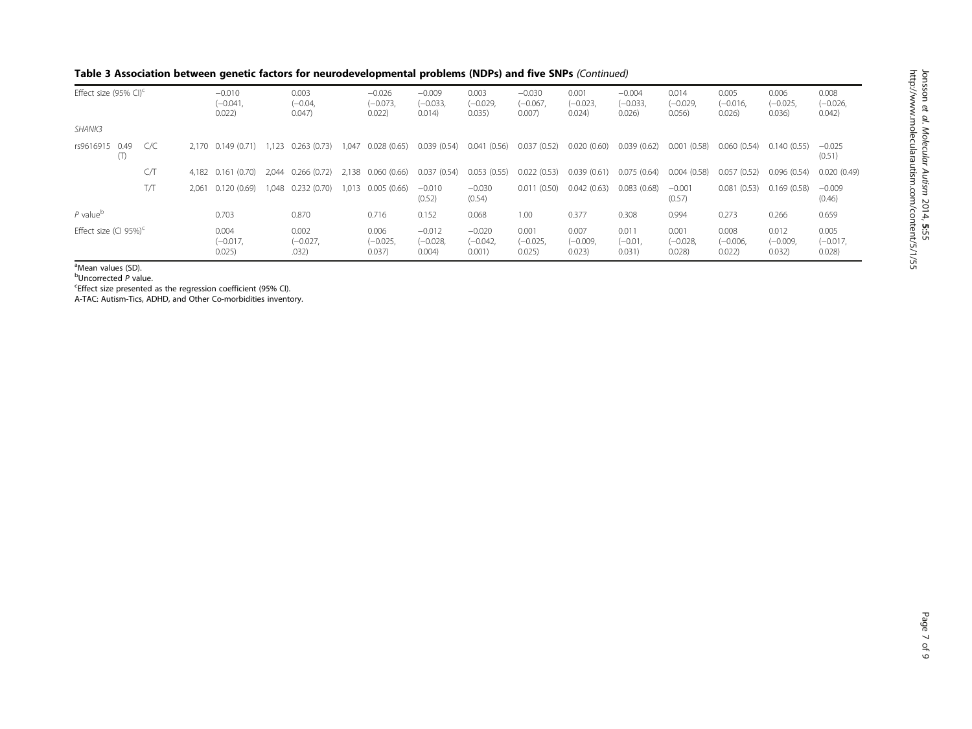| Effect size (95% CI) <sup>c</sup> |     | $-0.010$<br>$(-0.041,$<br>0.022) |                               | 0.003<br>$(-0.04,$<br>0.047) |                              | $-0.026$<br>$(-0.073,$<br>0.022 | $-0.009$<br>$(-0.033,$<br>0.014) | 0.003<br>$(-0.029,$<br>0.035)    | $-0.030$<br>$(-0.067,$<br>$0.007$ ) | 0.001<br>$(-0.023,$<br>0.024) | $-0.004$<br>$(-0.033,$<br>0.026 | 0.014<br>$(-0.029,$<br>$0.056$ ) | 0.005<br>$(-0.016,$<br>$0.026$ ) | 0.006<br>$(-0.025,$<br>0.036) | 0.008<br>$(-0.026,$<br>0.042) |                               |
|-----------------------------------|-----|----------------------------------|-------------------------------|------------------------------|------------------------------|---------------------------------|----------------------------------|----------------------------------|-------------------------------------|-------------------------------|---------------------------------|----------------------------------|----------------------------------|-------------------------------|-------------------------------|-------------------------------|
| SHANK3                            |     |                                  |                               |                              |                              |                                 |                                  |                                  |                                     |                               |                                 |                                  |                                  |                               |                               |                               |
| rs9616915<br>0.49<br>(1)          | C/C |                                  | 2.170 0.149 (0.71)            | 1.123                        | 0.263(0.73)                  | 1.047                           | 0.028(0.65)                      | 0.039(0.54)                      | (0.56)<br>0.041                     | 0.037(0.52)                   | 0.020(0.60)                     | 0.039(0.62)                      | 0.001(0.58)                      | 0.060 (0.54)                  | 0.140(0.55)                   | $-0.025$<br>(0.51)            |
|                                   | C/T |                                  | 4,182 0.161 (0.70)            | 2.044                        | 0.266(0.72)                  | 2,138                           | 0.060(0.66)                      | 0.037(0.54)                      | (0.55)<br>0.053                     | 0.022(0.53)                   | 0.039(0.61)                     | 0.075(0.64)                      | 0.004(0.58)                      | 0.057<br>(0.52)               | 0.096(0.54)                   | 0.020(0.49)                   |
|                                   | T/T | 2.061                            | 0.120(0.69)                   | 1.048                        | 0.232(0.70)                  | .013                            | 0.005(0.66)                      | $-0.010$<br>(0.52)               | $-0.030$<br>(0.54)                  | (0.50)<br>0.011               | 0.042(0.63)                     | 0.083(0.68)                      | $-0.001$<br>(0.57)               | 0.081<br>(0.53)               | 0.169(0.58)                   | $-0.009$<br>(0.46)            |
| $P$ value <sup>b</sup>            |     |                                  | 0.703                         |                              | 0.870                        |                                 | 0.716                            | 0.152                            | 0.068                               | 1.00                          | 0.377                           | 0.308                            | 0.994                            | 0.273                         | 0.266                         | 0.659                         |
| Effect size (CI 95%) $^{\circ}$   |     |                                  | 0.004<br>$(-0.017,$<br>0.025) |                              | 0.002<br>$(-0.027,$<br>.032) |                                 | 0.006<br>$(-0.025,$<br>0.037)    | $-0.012$<br>$(-0.028,$<br>0.004) | $-0.020$<br>$(-0.042,$<br>0.001)    | 0.001<br>$(-0.025,$<br>0.025) | 0.007<br>$(-0.009,$<br>0.023)   | 0.011<br>$(-0.01,$<br>0.031)     | 0.001<br>$(-0.028,$<br>0.028     | 0.008<br>$(-0.006,$<br>0.022  | 0.012<br>$(-0.009,$<br>0.032) | 0.005<br>$(-0.017,$<br>0.028) |

<sup>a</sup>Mean values (SD).

<sup>b</sup>Uncorrected P value.<br><sup>c</sup>Effect size presented

Effect size presented as the regression coefficient (95% CI).

A-TAC: Autism-Tics, ADHD, and Other Co-morbidities inventory.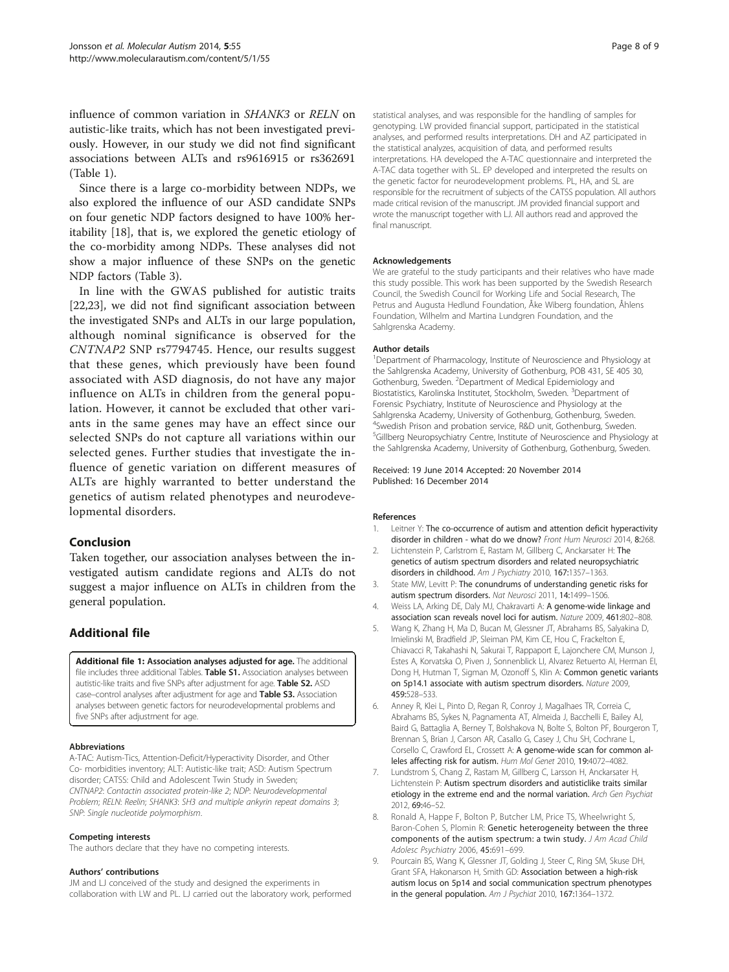<span id="page-7-0"></span>influence of common variation in SHANK3 or RELN on autistic-like traits, which has not been investigated previously. However, in our study we did not find significant associations between ALTs and rs9616915 or rs362691 (Table [1\)](#page-2-0).

Since there is a large co-morbidity between NDPs, we also explored the influence of our ASD candidate SNPs on four genetic NDP factors designed to have 100% heritability [[18\]](#page-8-0), that is, we explored the genetic etiology of the co-morbidity among NDPs. These analyses did not show a major influence of these SNPs on the genetic NDP factors (Table [3](#page-5-0)).

In line with the GWAS published for autistic traits [[22,23\]](#page-8-0), we did not find significant association between the investigated SNPs and ALTs in our large population, although nominal significance is observed for the CNTNAP2 SNP rs7794745. Hence, our results suggest that these genes, which previously have been found associated with ASD diagnosis, do not have any major influence on ALTs in children from the general population. However, it cannot be excluded that other variants in the same genes may have an effect since our selected SNPs do not capture all variations within our selected genes. Further studies that investigate the influence of genetic variation on different measures of ALTs are highly warranted to better understand the genetics of autism related phenotypes and neurodevelopmental disorders.

## Conclusion

Taken together, our association analyses between the investigated autism candidate regions and ALTs do not suggest a major influence on ALTs in children from the general population.

## Additional file

[Additional file 1:](http://www.biomedcentral.com/content/supplementary/2040-2392-5-55-S1.pdf) Association analyses adjusted for age. The additional file includes three additional Tables. Table S1. Association analyses between autistic-like traits and five SNPs after adjustment for age. Table S2. ASD case–control analyses after adjustment for age and Table S3. Association analyses between genetic factors for neurodevelopmental problems and five SNPs after adjustment for age.

#### Abbreviations

A-TAC: Autism-Tics, Attention-Deficit/Hyperactivity Disorder, and Other Co- morbidities inventory; ALT: Autistic-like trait; ASD: Autism Spectrum disorder; CATSS: Child and Adolescent Twin Study in Sweden; CNTNAP2: Contactin associated protein-like 2; NDP: Neurodevelopmental Problem; RELN: Reelin; SHANK3: SH3 and multiple ankyrin repeat domains 3; SNP: Single nucleotide polymorphism.

#### Competing interests

The authors declare that they have no competing interests.

#### Authors' contributions

JM and LJ conceived of the study and designed the experiments in collaboration with LW and PL. LJ carried out the laboratory work, performed

statistical analyses, and was responsible for the handling of samples for genotyping. LW provided financial support, participated in the statistical analyses, and performed results interpretations. DH and AZ participated in the statistical analyzes, acquisition of data, and performed results interpretations. HA developed the A-TAC questionnaire and interpreted the A-TAC data together with SL. EP developed and interpreted the results on the genetic factor for neurodevelopment problems. PL, HA, and SL are responsible for the recruitment of subjects of the CATSS population. All authors made critical revision of the manuscript. JM provided financial support and wrote the manuscript together with LJ. All authors read and approved the final manuscript.

#### Acknowledgements

We are grateful to the study participants and their relatives who have made this study possible. This work has been supported by the Swedish Research Council, the Swedish Council for Working Life and Social Research, The Petrus and Augusta Hedlund Foundation, Åke Wiberg foundation, Åhlens Foundation, Wilhelm and Martina Lundgren Foundation, and the Sahlgrenska Academy.

#### Author details

<sup>1</sup>Department of Pharmacology, Institute of Neuroscience and Physiology at the Sahlgrenska Academy, University of Gothenburg, POB 431, SE 405 30, Gothenburg, Sweden. <sup>2</sup> Department of Medical Epidemiology and Biostatistics, Karolinska Institutet, Stockholm, Sweden. <sup>3</sup>Department of Forensic Psychiatry, Institute of Neuroscience and Physiology at the Sahlgrenska Academy, University of Gothenburg, Gothenburg, Sweden. 4 Swedish Prison and probation service, R&D unit, Gothenburg, Sweden. 5 Gillberg Neuropsychiatry Centre, Institute of Neuroscience and Physiology at the Sahlgrenska Academy, University of Gothenburg, Gothenburg, Sweden.

#### Received: 19 June 2014 Accepted: 20 November 2014 Published: 16 December 2014

#### References

- 1. Leitner Y: The co-occurrence of autism and attention deficit hyperactivity disorder in children - what do we dnow? Front Hum Neurosci 2014, 8:268.
- Lichtenstein P, Carlstrom E, Rastam M, Gillberg C, Anckarsater H: The genetics of autism spectrum disorders and related neuropsychiatric disorders in childhood. Am J Psychiatry 2010, 167:1357-1363.
- 3. State MW, Levitt P: The conundrums of understanding genetic risks for autism spectrum disorders. Nat Neurosci 2011, 14:1499–1506.
- 4. Weiss LA, Arking DE, Daly MJ, Chakravarti A: A genome-wide linkage and association scan reveals novel loci for autism. Nature 2009, 461:802–808.
- 5. Wang K, Zhang H, Ma D, Bucan M, Glessner JT, Abrahams BS, Salyakina D, Imielinski M, Bradfield JP, Sleiman PM, Kim CE, Hou C, Frackelton E, Chiavacci R, Takahashi N, Sakurai T, Rappaport E, Lajonchere CM, Munson J, Estes A, Korvatska O, Piven J, Sonnenblick LI, Alvarez Retuerto AI, Herman EI, Dong H, Hutman T, Sigman M, Ozonoff S, Klin A: Common genetic variants on 5p14.1 associate with autism spectrum disorders. Nature 2009, 459:528–533.
- 6. Anney R, Klei L, Pinto D, Regan R, Conroy J, Magalhaes TR, Correia C, Abrahams BS, Sykes N, Pagnamenta AT, Almeida J, Bacchelli E, Bailey AJ, Baird G, Battaglia A, Berney T, Bolshakova N, Bolte S, Bolton PF, Bourgeron T, Brennan S, Brian J, Carson AR, Casallo G, Casey J, Chu SH, Cochrane L, Corsello C, Crawford EL, Crossett A: A genome-wide scan for common alleles affecting risk for autism. Hum Mol Genet 2010, 19:4072–4082.
- 7. Lundstrom S, Chang Z, Rastam M, Gillberg C, Larsson H, Anckarsater H, Lichtenstein P: Autism spectrum disorders and autisticlike traits similar etiology in the extreme end and the normal variation. Arch Gen Psychiat 2012, 69:46–52.
- 8. Ronald A, Happe F, Bolton P, Butcher LM, Price TS, Wheelwright S, Baron-Cohen S, Plomin R: Genetic heterogeneity between the three components of the autism spectrum: a twin study. J Am Acad Child Adolesc Psychiatry 2006, 45:691–699.
- 9. Pourcain BS, Wang K, Glessner JT, Golding J, Steer C, Ring SM, Skuse DH, Grant SFA, Hakonarson H, Smith GD: Association between a high-risk autism locus on 5p14 and social communication spectrum phenotypes in the general population. Am J Psychiat 2010, 167:1364-1372.